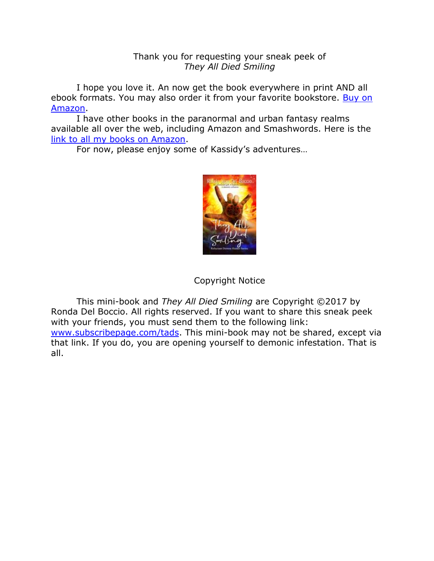## Thank you for requesting your sneak peek of *They All Died Smiling*

I hope you love it. An now get the book everywhere in print AND all ebook formats. You may also order it from your favorite bookstore. [Buy on](https://writeonpurpose.com/tads)  [Amazon.](https://writeonpurpose.com/tads)

I have other books in the paranormal and urban fantasy realms available all over the web, including Amazon and Smashwords. Here is the [link to all my books on Amazon.](https://writeonpurpose.com/amazon)

For now, please enjoy some of Kassidy's adventures…



# Copyright Notice

This mini-book and *They All Died Smiling* are Copyright ©2017 by Ronda Del Boccio. All rights reserved. If you want to share this sneak peek with your friends, you must send them to the following link: [www.subscribepage.com/tads.](http://www.subscribepage.com/tads) This mini-book may not be shared, except via that link. If you do, you are opening yourself to demonic infestation. That is all.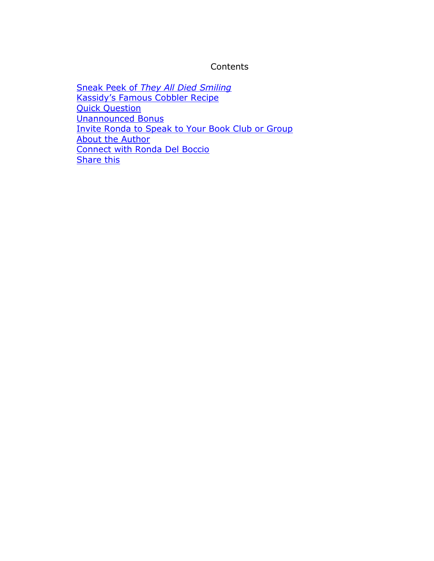## **Contents**

Sneak Peek of *[They All Died Smiling](#page-2-0)* [Kassidy's Famous Cobbler Recipe](#page-7-0) **[Quick Question](#page-8-0)** [Unannounced Bonus](#page-10-0) [Invite Ronda to Speak to Your Book Club or Group](#page-13-0) [About the Author](#page-14-0) [Connect with Ronda Del Boccio](#page-15-0) [Share this](#page-15-1)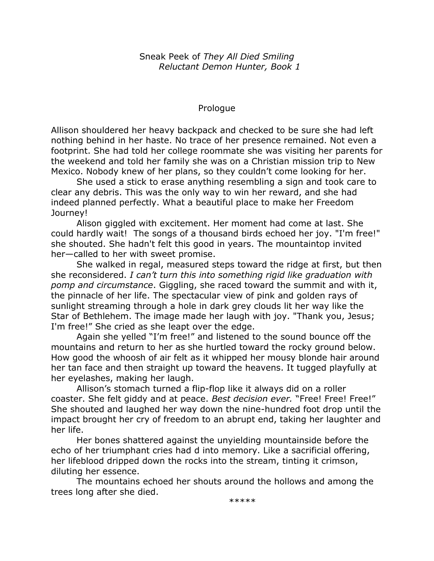Sneak Peek of *They All Died Smiling Reluctant Demon Hunter, Book 1*

## Prologue

<span id="page-2-0"></span>Allison shouldered her heavy backpack and checked to be sure she had left nothing behind in her haste. No trace of her presence remained. Not even a footprint. She had told her college roommate she was visiting her parents for the weekend and told her family she was on a Christian mission trip to New Mexico. Nobody knew of her plans, so they couldn't come looking for her.

She used a stick to erase anything resembling a sign and took care to clear any debris. This was the only way to win her reward, and she had indeed planned perfectly. What a beautiful place to make her Freedom Journey!

Alison giggled with excitement. Her moment had come at last. She could hardly wait! The songs of a thousand birds echoed her joy. "I'm free!" she shouted. She hadn't felt this good in years. The mountaintop invited her—called to her with sweet promise.

She walked in regal, measured steps toward the ridge at first, but then she reconsidered. *I can't turn this into something rigid like graduation with pomp and circumstance*. Giggling, she raced toward the summit and with it, the pinnacle of her life. The spectacular view of pink and golden rays of sunlight streaming through a hole in dark grey clouds lit her way like the Star of Bethlehem. The image made her laugh with joy. "Thank you, Jesus; I'm free!" She cried as she leapt over the edge.

Again she yelled "I'm free!" and listened to the sound bounce off the mountains and return to her as she hurtled toward the rocky ground below. How good the whoosh of air felt as it whipped her mousy blonde hair around her tan face and then straight up toward the heavens. It tugged playfully at her eyelashes, making her laugh.

Allison's stomach turned a flip-flop like it always did on a roller coaster. She felt giddy and at peace. *Best decision ever.* "Free! Free! Free!" She shouted and laughed her way down the nine-hundred foot drop until the impact brought her cry of freedom to an abrupt end, taking her laughter and her life.

Her bones shattered against the unyielding mountainside before the echo of her triumphant cries had d into memory. Like a sacrificial offering, her lifeblood dripped down the rocks into the stream, tinting it crimson, diluting her essence.

The mountains echoed her shouts around the hollows and among the trees long after she died.

\*\*\*\*\*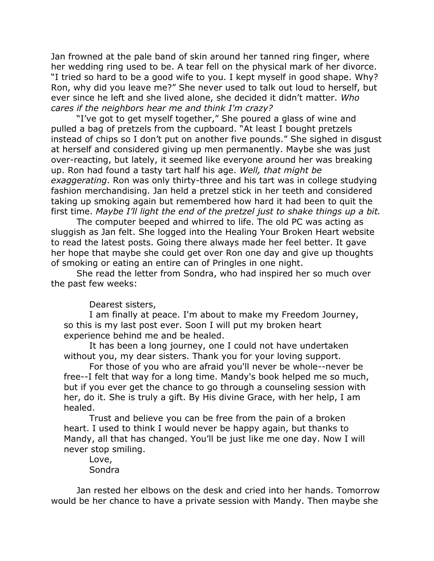Jan frowned at the pale band of skin around her tanned ring finger, where her wedding ring used to be. A tear fell on the physical mark of her divorce. "I tried so hard to be a good wife to you. I kept myself in good shape. Why? Ron, why did you leave me?" She never used to talk out loud to herself, but ever since he left and she lived alone, she decided it didn't matter. *Who cares if the neighbors hear me and think I'm crazy?*

"I've got to get myself together," She poured a glass of wine and pulled a bag of pretzels from the cupboard. "At least I bought pretzels instead of chips so I don't put on another five pounds." She sighed in disgust at herself and considered giving up men permanently. Maybe she was just over-reacting, but lately, it seemed like everyone around her was breaking up. Ron had found a tasty tart half his age. *Well, that might be exaggerating*. Ron was only thirty-three and his tart was in college studying fashion merchandising. Jan held a pretzel stick in her teeth and considered taking up smoking again but remembered how hard it had been to quit the first time. *Maybe I'll light the end of the pretzel just to shake things up a bit.*

The computer beeped and whirred to life. The old PC was acting as sluggish as Jan felt. She logged into the Healing Your Broken Heart website to read the latest posts. Going there always made her feel better. It gave her hope that maybe she could get over Ron one day and give up thoughts of smoking or eating an entire can of Pringles in one night.

She read the letter from Sondra, who had inspired her so much over the past few weeks:

Dearest sisters,

I am finally at peace. I'm about to make my Freedom Journey, so this is my last post ever. Soon I will put my broken heart experience behind me and be healed.

It has been a long journey, one I could not have undertaken without you, my dear sisters. Thank you for your loving support.

For those of you who are afraid you'll never be whole--never be free--I felt that way for a long time. Mandy's book helped me so much, but if you ever get the chance to go through a counseling session with her, do it. She is truly a gift. By His divine Grace, with her help, I am healed.

Trust and believe you can be free from the pain of a broken heart. I used to think I would never be happy again, but thanks to Mandy, all that has changed. You'll be just like me one day. Now I will never stop smiling.

Love, Sondra

Jan rested her elbows on the desk and cried into her hands. Tomorrow would be her chance to have a private session with Mandy. Then maybe she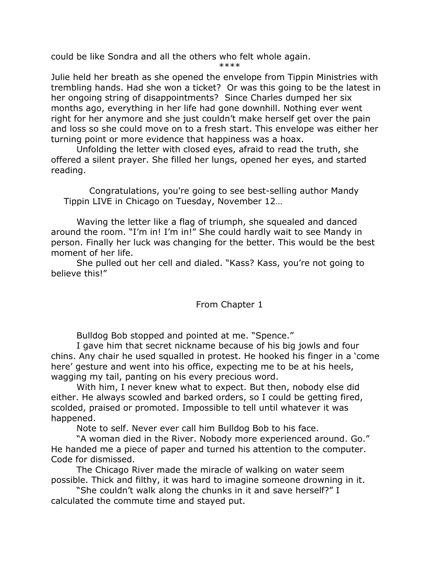could be like Sondra and all the others who felt whole again.

\*\*\*\*

Julie held her breath as she opened the envelope from Tippin Ministries with trembling hands. Had she won a ticket? Or was this going to be the latest in her ongoing string of disappointments? Since Charles dumped her six months ago, everything in her life had gone downhill. Nothing ever went right for her anymore and she just couldn't make herself get over the pain and loss so she could move on to a fresh start. This envelope was either her turning point or more evidence that happiness was a hoax.

Unfolding the letter with closed eyes, afraid to read the truth, she offered a silent prayer. She filled her lungs, opened her eyes, and started reading.

Congratulations, you're going to see best-selling author Mandy Tippin LIVE in Chicago on Tuesday, November 12…

Waving the letter like a flag of triumph, she squealed and danced around the room. "I'm in! I'm in!" She could hardly wait to see Mandy in person. Finally her luck was changing for the better. This would be the best moment of her life.

She pulled out her cell and dialed. "Kass? Kass, you're not going to believe this!"

# From Chapter 1

Bulldog Bob stopped and pointed at me. "Spence."

I gave him that secret nickname because of his big jowls and four chins. Any chair he used squalled in protest. He hooked his finger in a 'come here' gesture and went into his office, expecting me to be at his heels, wagging my tail, panting on his every precious word.

With him, I never knew what to expect. But then, nobody else did either. He always scowled and barked orders, so I could be getting fired, scolded, praised or promoted. Impossible to tell until whatever it was happened.

Note to self. Never ever call him Bulldog Bob to his face.

"A woman died in the River. Nobody more experienced around. Go." He handed me a piece of paper and turned his attention to the computer. Code for dismissed.

The Chicago River made the miracle of walking on water seem possible. Thick and filthy, it was hard to imagine someone drowning in it.

"She couldn't walk along the chunks in it and save herself?" I calculated the commute time and stayed put.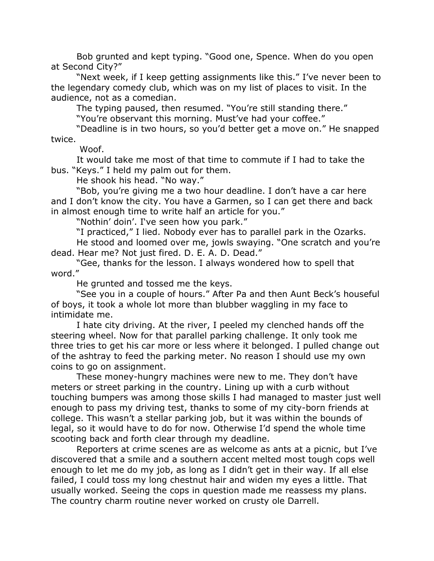Bob grunted and kept typing. "Good one, Spence. When do you open at Second City?"

"Next week, if I keep getting assignments like this." I've never been to the legendary comedy club, which was on my list of places to visit. In the audience, not as a comedian.

The typing paused, then resumed. "You're still standing there."

"You're observant this morning. Must've had your coffee."

"Deadline is in two hours, so you'd better get a move on." He snapped twice.

Woof.

It would take me most of that time to commute if I had to take the bus. "Keys." I held my palm out for them.

He shook his head. "No way."

"Bob, you're giving me a two hour deadline. I don't have a car here and I don't know the city. You have a Garmen, so I can get there and back in almost enough time to write half an article for you."

"Nothin' doin'. I've seen how you park."

"I practiced," I lied. Nobody ever has to parallel park in the Ozarks. He stood and loomed over me, jowls swaying. "One scratch and you're dead. Hear me? Not just fired. D. E. A. D. Dead."

"Gee, thanks for the lesson. I always wondered how to spell that word."

He grunted and tossed me the keys.

"See you in a couple of hours." After Pa and then Aunt Beck's houseful of boys, it took a whole lot more than blubber waggling in my face to intimidate me.

I hate city driving. At the river, I peeled my clenched hands off the steering wheel. Now for that parallel parking challenge. It only took me three tries to get his car more or less where it belonged. I pulled change out of the ashtray to feed the parking meter. No reason I should use my own coins to go on assignment.

These money-hungry machines were new to me. They don't have meters or street parking in the country. Lining up with a curb without touching bumpers was among those skills I had managed to master just well enough to pass my driving test, thanks to some of my city-born friends at college. This wasn't a stellar parking job, but it was within the bounds of legal, so it would have to do for now. Otherwise I'd spend the whole time scooting back and forth clear through my deadline.

Reporters at crime scenes are as welcome as ants at a picnic, but I've discovered that a smile and a southern accent melted most tough cops well enough to let me do my job, as long as I didn't get in their way. If all else failed, I could toss my long chestnut hair and widen my eyes a little. That usually worked. Seeing the cops in question made me reassess my plans. The country charm routine never worked on crusty ole Darrell.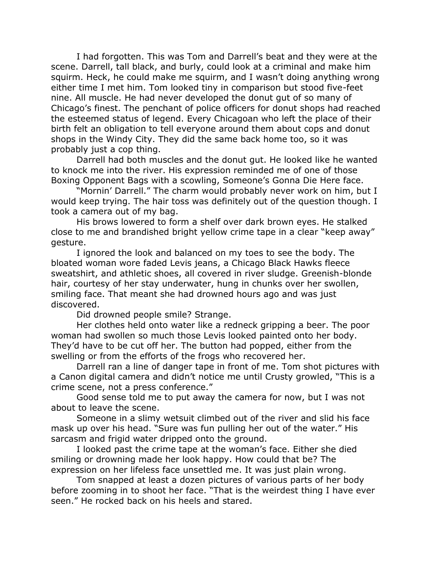I had forgotten. This was Tom and Darrell's beat and they were at the scene. Darrell, tall black, and burly, could look at a criminal and make him squirm. Heck, he could make me squirm, and I wasn't doing anything wrong either time I met him. Tom looked tiny in comparison but stood five-feet nine. All muscle. He had never developed the donut gut of so many of Chicago's finest. The penchant of police officers for donut shops had reached the esteemed status of legend. Every Chicagoan who left the place of their birth felt an obligation to tell everyone around them about cops and donut shops in the Windy City. They did the same back home too, so it was probably just a cop thing.

Darrell had both muscles and the donut gut. He looked like he wanted to knock me into the river. His expression reminded me of one of those Boxing Opponent Bags with a scowling, Someone's Gonna Die Here face.

"Mornin' Darrell." The charm would probably never work on him, but I would keep trying. The hair toss was definitely out of the question though. I took a camera out of my bag.

His brows lowered to form a shelf over dark brown eyes. He stalked close to me and brandished bright yellow crime tape in a clear "keep away" gesture.

I ignored the look and balanced on my toes to see the body. The bloated woman wore faded Levis jeans, a Chicago Black Hawks fleece sweatshirt, and athletic shoes, all covered in river sludge. Greenish-blonde hair, courtesy of her stay underwater, hung in chunks over her swollen, smiling face. That meant she had drowned hours ago and was just discovered.

Did drowned people smile? Strange.

Her clothes held onto water like a redneck gripping a beer. The poor woman had swollen so much those Levis looked painted onto her body. They'd have to be cut off her. The button had popped, either from the swelling or from the efforts of the frogs who recovered her.

Darrell ran a line of danger tape in front of me. Tom shot pictures with a Canon digital camera and didn't notice me until Crusty growled, "This is a crime scene, not a press conference."

Good sense told me to put away the camera for now, but I was not about to leave the scene.

Someone in a slimy wetsuit climbed out of the river and slid his face mask up over his head. "Sure was fun pulling her out of the water." His sarcasm and frigid water dripped onto the ground.

I looked past the crime tape at the woman's face. Either she died smiling or drowning made her look happy. How could that be? The expression on her lifeless face unsettled me. It was just plain wrong.

Tom snapped at least a dozen pictures of various parts of her body before zooming in to shoot her face. "That is the weirdest thing I have ever seen." He rocked back on his heels and stared.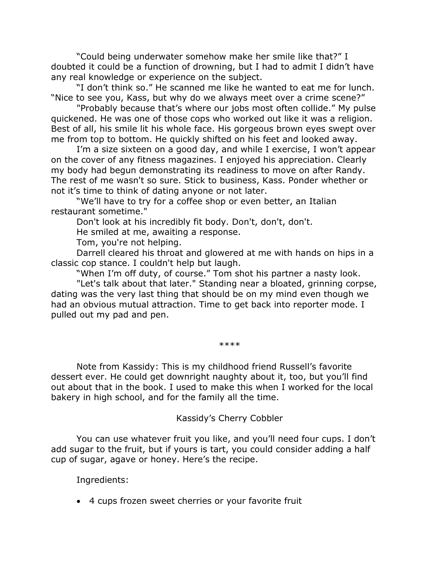"Could being underwater somehow make her smile like that?" I doubted it could be a function of drowning, but I had to admit I didn't have any real knowledge or experience on the subject.

"I don't think so." He scanned me like he wanted to eat me for lunch. "Nice to see you, Kass, but why do we always meet over a crime scene?"

"Probably because that's where our jobs most often collide." My pulse quickened. He was one of those cops who worked out like it was a religion. Best of all, his smile lit his whole face. His gorgeous brown eyes swept over me from top to bottom. He quickly shifted on his feet and looked away.

I'm a size sixteen on a good day, and while I exercise, I won't appear on the cover of any fitness magazines. I enjoyed his appreciation. Clearly my body had begun demonstrating its readiness to move on after Randy. The rest of me wasn't so sure. Stick to business, Kass. Ponder whether or not it's time to think of dating anyone or not later.

"We'll have to try for a coffee shop or even better, an Italian restaurant sometime."

Don't look at his incredibly fit body. Don't, don't, don't.

He smiled at me, awaiting a response.

Tom, you're not helping.

Darrell cleared his throat and glowered at me with hands on hips in a classic cop stance. I couldn't help but laugh.

"When I'm off duty, of course." Tom shot his partner a nasty look.

"Let's talk about that later." Standing near a bloated, grinning corpse, dating was the very last thing that should be on my mind even though we had an obvious mutual attraction. Time to get back into reporter mode. I pulled out my pad and pen.

\*\*\*\*

<span id="page-7-0"></span>Note from Kassidy: This is my childhood friend Russell's favorite dessert ever. He could get downright naughty about it, too, but you'll find out about that in the book. I used to make this when I worked for the local bakery in high school, and for the family all the time.

## Kassidy's Cherry Cobbler

You can use whatever fruit you like, and you'll need four cups. I don't add sugar to the fruit, but if yours is tart, you could consider adding a half cup of sugar, agave or honey. Here's the recipe.

Ingredients:

• 4 cups frozen sweet cherries or your favorite fruit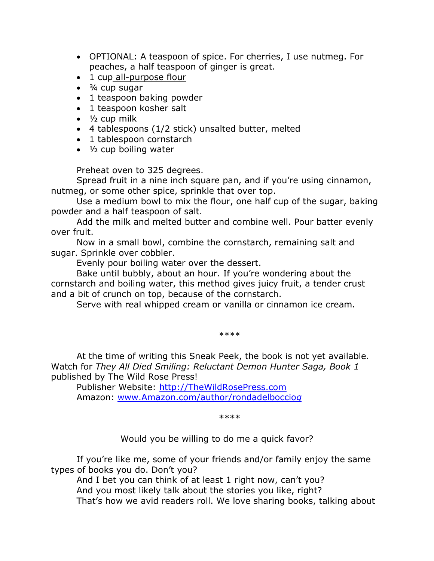- OPTIONAL: A teaspoon of spice. For cherries, I use nutmeg. For peaches, a half teaspoon of ginger is great.
- 1 cup [all-purpose flour](http://www.foodterms.com/encyclopedia/flour/index.html)
- $\cdot$   $\frac{3}{4}$  cup sugar
- 1 teaspoon baking powder
- 1 teaspoon kosher salt
- $\bullet$   $\frac{1}{2}$  cup milk
- 4 tablespoons (1/2 stick) unsalted butter, melted
- 1 tablespoon cornstarc[h](http://www.foodterms.com/encyclopedia/cornstarch/index.html)
- ½ cup boiling water

Preheat oven to 325 degrees.

Spread fruit in a nine inch square pan, and if you're using cinnamon, nutmeg, or some other spice, sprinkle that over top.

Use a medium bowl to mix the flour, one half cup of the sugar, baking powder and a half teaspoon of salt.

Add the milk and melted butter and combine well. Pour batter evenly over fruit.

Now in a small bowl, combine the cornstarch, remaining salt and sugar. Sprinkle over cobbler.

Evenly pour boiling water over the dessert.

Bake until bubbly, about an hour. If you're wondering about the cornstarch and boiling water, this method gives juicy fruit, a tender crust and a bit of crunch on top, because of the cornstarch.

Serve with real whipped cream or vanilla or cinnamon ice cream.

\*\*\*\*

At the time of writing this Sneak Peek, the book is not yet available. Watch for *They All Died Smiling: Reluctant Demon Hunter Saga, Book 1*  published by The Wild Rose Press!

Publisher Website: [http://TheWildRosePress.com](http://thewildrosepress.com/) Amazon: [www.Amazon.com/author/rondadelboccio](http://www.amazon.com/author/rondadelbocciog)*g* 

\*\*\*\*

Would you be willing to do me a quick favor?

<span id="page-8-0"></span>If you're like me, some of your friends and/or family enjoy the same types of books you do. Don't you?

And I bet you can think of at least 1 right now, can't you? And you most likely talk about the stories you like, right? That's how we avid readers roll. We love sharing books, talking about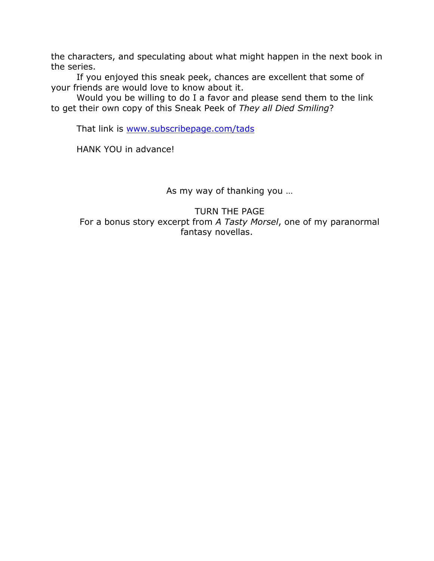the characters, and speculating about what might happen in the next book in the series.

If you enjoyed this sneak peek, chances are excellent that some of your friends are would love to know about it.

Would you be willing to do I a favor and please send them to the link to get their own copy of this Sneak Peek of *They all Died Smiling*?

That link is [www.subscribepage.com/tads](http://www.subscribepage.com/tads)

HANK YOU in advance!

As my way of thanking you …

TURN THE PAGE For a bonus story excerpt from *A Tasty Morsel*, one of my paranormal fantasy novellas.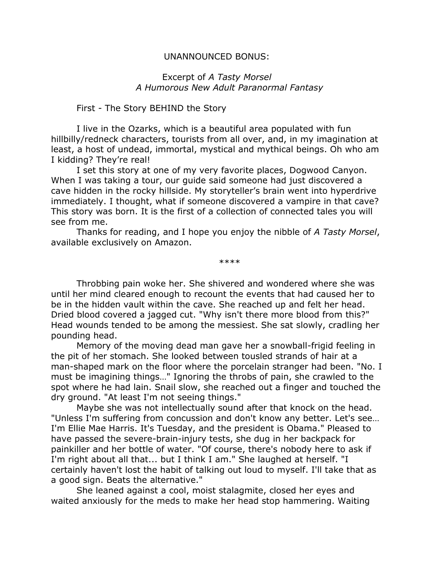#### UNANNOUNCED BONUS:

#### Excerpt of *A Tasty Morsel A Humorous New Adult Paranormal Fantasy*

## <span id="page-10-0"></span>First - The Story BEHIND the Story

I live in the Ozarks, which is a beautiful area populated with fun hillbilly/redneck characters, tourists from all over, and, in my imagination at least, a host of undead, immortal, mystical and mythical beings. Oh who am I kidding? They're real!

I set this story at one of my very favorite places, Dogwood Canyon. When I was taking a tour, our guide said someone had just discovered a cave hidden in the rocky hillside. My storyteller's brain went into hyperdrive immediately. I thought, what if someone discovered a vampire in that cave? This story was born. It is the first of a collection of connected tales you will see from me.

Thanks for reading, and I hope you enjoy the nibble of *A Tasty Morsel*, available exclusively on Amazon.

\*\*\*\*

Throbbing pain woke her. She shivered and wondered where she was until her mind cleared enough to recount the events that had caused her to be in the hidden vault within the cave. She reached up and felt her head. Dried blood covered a jagged cut. "Why isn't there more blood from this?" Head wounds tended to be among the messiest. She sat slowly, cradling her pounding head.

Memory of the moving dead man gave her a snowball-frigid feeling in the pit of her stomach. She looked between tousled strands of hair at a man-shaped mark on the floor where the porcelain stranger had been. "No. I must be imagining things…" Ignoring the throbs of pain, she crawled to the spot where he had lain. Snail slow, she reached out a finger and touched the dry ground. "At least I'm not seeing things."

Maybe she was not intellectually sound after that knock on the head. "Unless I'm suffering from concussion and don't know any better. Let's see… I'm Ellie Mae Harris. It's Tuesday, and the president is Obama." Pleased to have passed the severe-brain-injury tests, she dug in her backpack for painkiller and her bottle of water. "Of course, there's nobody here to ask if I'm right about all that... but I think I am." She laughed at herself. "I certainly haven't lost the habit of talking out loud to myself. I'll take that as a good sign. Beats the alternative."

She leaned against a cool, moist stalagmite, closed her eyes and waited anxiously for the meds to make her head stop hammering. Waiting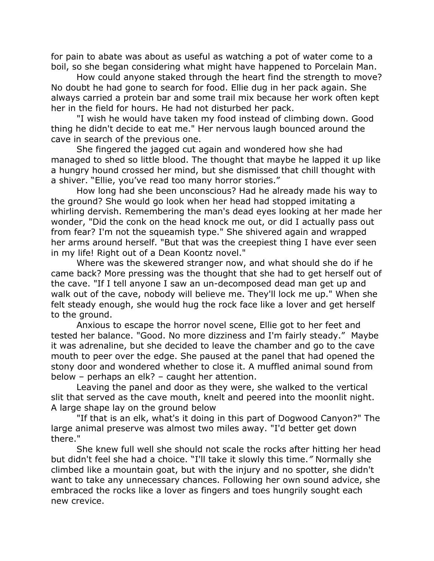for pain to abate was about as useful as watching a pot of water come to a boil, so she began considering what might have happened to Porcelain Man.

How could anyone staked through the heart find the strength to move? No doubt he had gone to search for food. Ellie dug in her pack again. She always carried a protein bar and some trail mix because her work often kept her in the field for hours. He had not disturbed her pack.

"I wish he would have taken my food instead of climbing down. Good thing he didn't decide to eat me." Her nervous laugh bounced around the cave in search of the previous one.

She fingered the jagged cut again and wondered how she had managed to shed so little blood. The thought that maybe he lapped it up like a hungry hound crossed her mind, but she dismissed that chill thought with a shiver. "Ellie, you've read too many horror stories."

How long had she been unconscious? Had he already made his way to the ground? She would go look when her head had stopped imitating a whirling dervish. Remembering the man's dead eyes looking at her made her wonder, "Did the conk on the head knock me out, or did I actually pass out from fear? I'm not the squeamish type." She shivered again and wrapped her arms around herself. "But that was the creepiest thing I have ever seen in my life! Right out of a Dean Koontz novel."

Where was the skewered stranger now, and what should she do if he came back? More pressing was the thought that she had to get herself out of the cave. "If I tell anyone I saw an un-decomposed dead man get up and walk out of the cave, nobody will believe me. They'll lock me up." When she felt steady enough, she would hug the rock face like a lover and get herself to the ground.

Anxious to escape the horror novel scene, Ellie got to her feet and tested her balance. "Good. No more dizziness and I'm fairly steady." Maybe it was adrenaline, but she decided to leave the chamber and go to the cave mouth to peer over the edge. She paused at the panel that had opened the stony door and wondered whether to close it. A muffled animal sound from below – perhaps an elk? – caught her attention.

Leaving the panel and door as they were, she walked to the vertical slit that served as the cave mouth, knelt and peered into the moonlit night. A large shape lay on the ground below

"If that is an elk, what's it doing in this part of Dogwood Canyon?" The large animal preserve was almost two miles away. "I'd better get down there."

She knew full well she should not scale the rocks after hitting her head but didn't feel she had a choice. "I'll take it slowly this time.*"* Normally she climbed like a mountain goat, but with the injury and no spotter, she didn't want to take any unnecessary chances. Following her own sound advice, she embraced the rocks like a lover as fingers and toes hungrily sought each new crevice.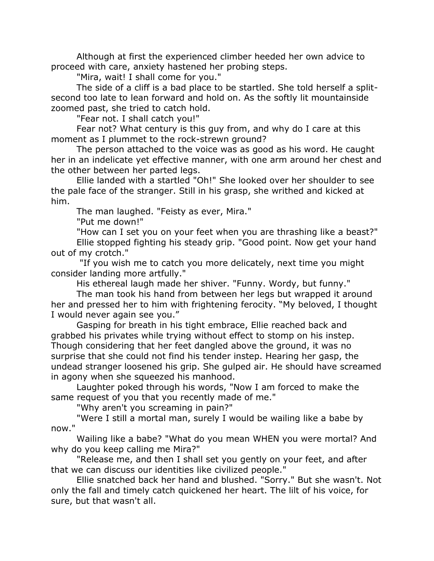Although at first the experienced climber heeded her own advice to proceed with care, anxiety hastened her probing steps.

"Mira, wait! I shall come for you."

The side of a cliff is a bad place to be startled. She told herself a splitsecond too late to lean forward and hold on. As the softly lit mountainside zoomed past, she tried to catch hold.

"Fear not. I shall catch you!"

Fear not? What century is this guy from, and why do I care at this moment as I plummet to the rock-strewn ground?

The person attached to the voice was as good as his word. He caught her in an indelicate yet effective manner, with one arm around her chest and the other between her parted legs.

Ellie landed with a startled "Oh!" She looked over her shoulder to see the pale face of the stranger. Still in his grasp, she writhed and kicked at him.

The man laughed. "Feisty as ever, Mira."

"Put me down!"

"How can I set you on your feet when you are thrashing like a beast?" Ellie stopped fighting his steady grip. "Good point. Now get your hand out of my crotch."

"If you wish me to catch you more delicately, next time you might consider landing more artfully."

His ethereal laugh made her shiver. "Funny. Wordy, but funny."

The man took his hand from between her legs but wrapped it around her and pressed her to him with frightening ferocity. "My beloved, I thought I would never again see you."

Gasping for breath in his tight embrace, Ellie reached back and grabbed his privates while trying without effect to stomp on his instep. Though considering that her feet dangled above the ground, it was no surprise that she could not find his tender instep. Hearing her gasp, the undead stranger loosened his grip. She gulped air. He should have screamed in agony when she squeezed his manhood.

Laughter poked through his words, "Now I am forced to make the same request of you that you recently made of me."

"Why aren't you screaming in pain?"

"Were I still a mortal man, surely I would be wailing like a babe by now."

Wailing like a babe? "What do you mean WHEN you were mortal? And why do you keep calling me Mira?"

"Release me, and then I shall set you gently on your feet, and after that we can discuss our identities like civilized people."

Ellie snatched back her hand and blushed. "Sorry." But she wasn't. Not only the fall and timely catch quickened her heart. The lilt of his voice, for sure, but that wasn't all.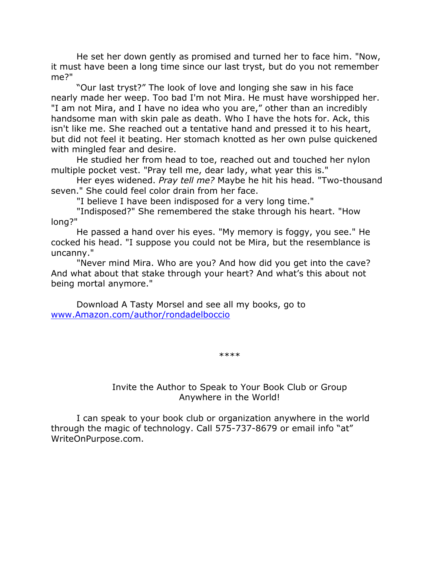He set her down gently as promised and turned her to face him. "Now, it must have been a long time since our last tryst, but do you not remember me?"

"Our last tryst?" The look of love and longing she saw in his face nearly made her weep. Too bad I'm not Mira. He must have worshipped her. "I am not Mira, and I have no idea who you are," other than an incredibly handsome man with skin pale as death. Who I have the hots for. Ack, this isn't like me. She reached out a tentative hand and pressed it to his heart, but did not feel it beating. Her stomach knotted as her own pulse quickened with mingled fear and desire.

He studied her from head to toe, reached out and touched her nylon multiple pocket vest. "Pray tell me, dear lady, what year this is."

Her eyes widened. *Pray tell me?* Maybe he hit his head. "Two-thousand seven." She could feel color drain from her face.

"I believe I have been indisposed for a very long time."

"Indisposed?" She remembered the stake through his heart. "How long?"

He passed a hand over his eyes. "My memory is foggy, you see." He cocked his head. "I suppose you could not be Mira, but the resemblance is uncanny."

"Never mind Mira. Who are you? And how did you get into the cave? And what about that stake through your heart? And what's this about not being mortal anymore."

Download A Tasty Morsel and see all my books, go to [www.Amazon.com/author/rondadelboccio](http://www.amazon.com/author/rondadelboccio)

\*\*\*\*

Invite the Author to Speak to Your Book Club or Group Anywhere in the World!

<span id="page-13-0"></span>I can speak to your book club or organization anywhere in the world through the magic of technology. Call 575-737-8679 or email info "at" WriteOnPurpose.com.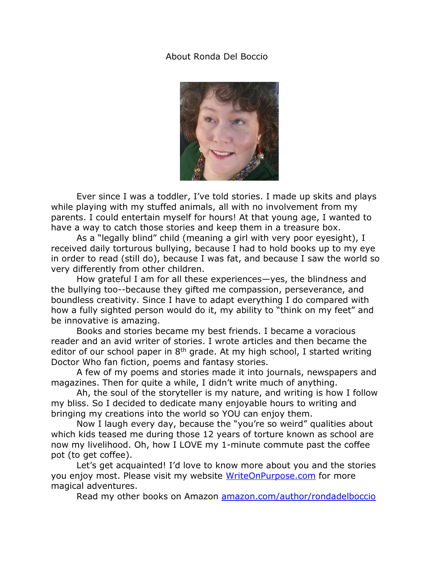## <span id="page-14-0"></span>About Ronda Del Boccio



Ever since I was a toddler, I've told stories. I made up skits and plays while playing with my stuffed animals, all with no involvement from my parents. I could entertain myself for hours! At that young age, I wanted to have a way to catch those stories and keep them in a treasure box.

As a "legally blind" child (meaning a girl with very poor eyesight), I received daily torturous bullying, because I had to hold books up to my eye in order to read (still do), because I was fat, and because I saw the world so very differently from other children.

How grateful I am for all these experiences—yes, the blindness and the bullying too--because they gifted me compassion, perseverance, and boundless creativity. Since I have to adapt everything I do compared with how a fully sighted person would do it, my ability to "think on my feet" and be innovative is amazing.

Books and stories became my best friends. I became a voracious reader and an avid writer of stories. I wrote articles and then became the editor of our school paper in  $8<sup>th</sup>$  grade. At my high school, I started writing Doctor Who fan fiction, poems and fantasy stories.

A few of my poems and stories made it into journals, newspapers and magazines. Then for quite a while, I didn't write much of anything.

Ah, the soul of the storyteller is my nature, and writing is how I follow my bliss. So I decided to dedicate many enjoyable hours to writing and bringing my creations into the world so YOU can enjoy them.

Now I laugh every day, because the "you're so weird" qualities about which kids teased me during those 12 years of torture known as school are now my livelihood. Oh, how I LOVE my 1-minute commute past the coffee pot (to get coffee).

Let's get acquainted! I'd love to know more about you and the stories you enjoy most. Please visit my website [WriteOnPurpose.com](http://writeonpurpose.com/) for more magical adventures.

Read my other books on Amazon [amazon.com/author/rondadelboccio](https://amazon.com/author/rondadelboccio)